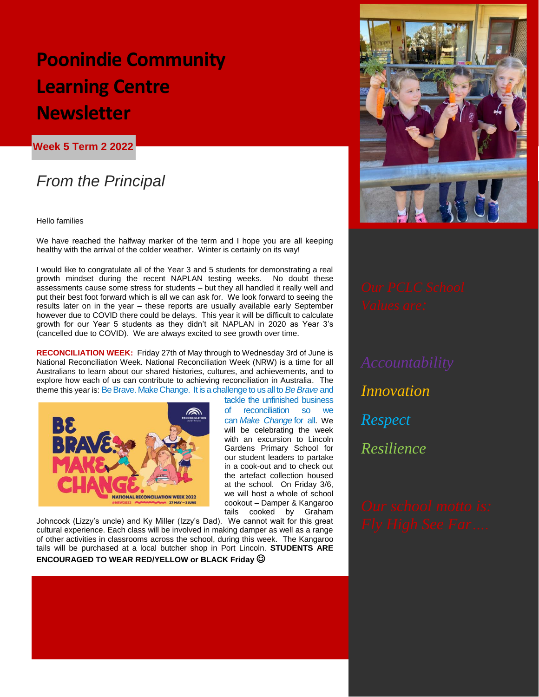# **Poonindie Community Learning Centre Newsletter**

**Week 5 Term 2 2022**

## *From the Principal*

*Welcome to week 5 – halfway mark of this*  Hello families

we nave reacned the nairway marker of the term and I hope you are al<br>healthy with the arrival of the colder weather. Winter is certainly on its way! We have reached the halfway marker of the term and I hope you are all keeping

I would like to congratulate all of the Year 3 and 5 students for demonstrating a real growth mindset during the recent NAPLAN testing weeks. No doubt these assessments cause some stress for students – but they all handled it really well and put their best foot forward which is all we can ask for. We look forward to seeing the results later on in the year – these reports are usually available early September however due to COVID there could be delays. This year it will be difficult to calculate growth for our Year 5 students as they didn't sit NAPLAN in 2020 as Year 3's (cancelled due to COVID). We are always excited to see growth over time.

**RECONCILIATION WEEK:** Friday 27th of May through to Wednesday 3rd of June is National Reconciliation Week. National Reconciliation Week (NRW) is a time for all Australians to learn about our shared histories, cultures, and achievements, and to explore how each of us can contribute to achieving reconciliation in Australia. The theme this year is: Be Brave. Make Change. It is a challenge to us all to *Be Brave* and



tackle the unfinished business of reconciliation so we can *Make Change* for all. We will be celebrating the week with an excursion to Lincoln Gardens Primary School for our student leaders to partake in a cook-out and to check out the artefact collection housed at the school. On Friday 3/6, we will host a whole of school cookout – Damper & Kangaroo tails cooked by Graham

Johncock (Lizzy's uncle) and Ky Miller (Izzy's Dad). We cannot wait for this great cultural experience. Each class will be involved in making damper as well as a range of other activities in classrooms across the school, during this week. The Kangaroo tails will be purchased at a local butcher shop in Port Lincoln. **STUDENTS ARE ENCOURAGED TO WEAR RED/YELLOW or BLACK Friday** 



*Innovation Respect Resilience*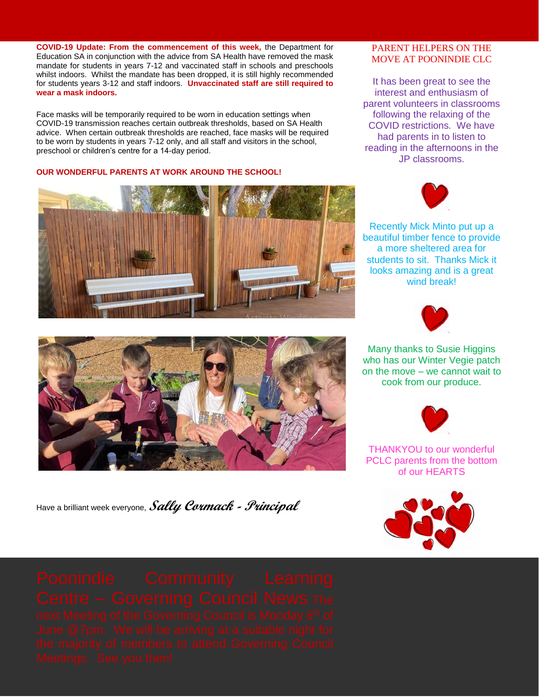**COVID-19 Update: From the commencement of this week,** the Department for Education SA in conjunction with the advice from SA Health have removed the mask mandate for students in years 7-12 and vaccinated staff in schools and preschools whilst indoors. Whilst the mandate has been dropped, it is still highly recommended for students years 3-12 and staff indoors. **Unvaccinated staff are still required to wear a mask indoors.**

Face masks will be temporarily required to be worn in education settings when COVID-19 transmission reaches certain outbreak thresholds, based on SA Health advice. When certain outbreak thresholds are reached, face masks will be required to be worn by students in years 7-12 only, and all staff and visitors in the school, preschool or children's centre for a 14-day period.

#### **OUR WONDERFUL PARENTS AT WORK AROUND THE SCHOOL!**





Have a brilliant week everyone, **Sally Cormack - Principal**

### PARENT HELPERS ON THE MOVE AT POONINDIE CLC

It has been great to see the interest and enthusiasm of parent volunteers in classrooms following the relaxing of the COVID restrictions. We have had parents in to listen to reading in the afternoons in the JP classrooms.



Recently Mick Minto put up a beautiful timber fence to provide a more sheltered area for students to sit. Thanks Mick it looks amazing and is a great wind break!



Many thanks to Susie Higgins who has our Winter Vegie patch on the move – we cannot wait to cook from our produce.



THANKYOU to our wonderful PCLC parents from the bottom of our HEARTS

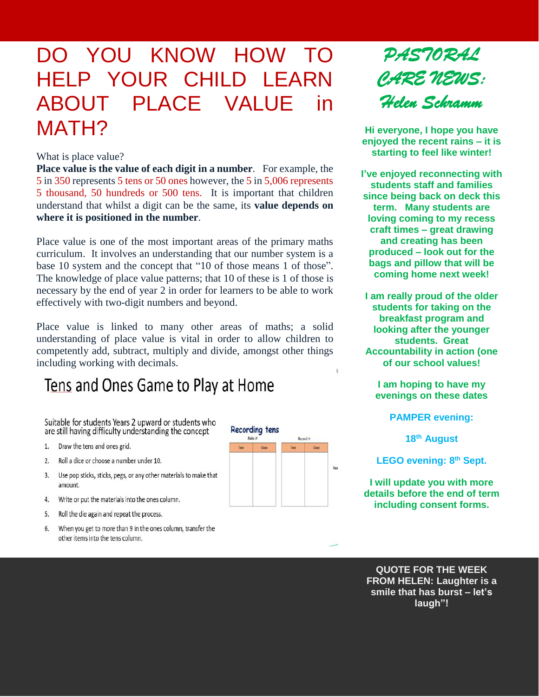# DO YOU KNOW HOW TO HELP YOUR CHILD LEARN ABOUT PLACE VALUE in MATH?

#### What is place value?

**Place value is the value of each digit in a number**. For example, the 5 in 350 represents 5 tens or 50 ones however, the 5 in 5,006 represents 5 thousand, 50 hundreds or 500 tens. It is important that children understand that whilst a digit can be the same, its **value depends on where it is positioned in the number**.

Place value is one of the most important areas of the primary maths curriculum. It involves an understanding that our number system is a base 10 system and the concept that "10 of those means 1 of those". The knowledge of place value patterns; that 10 of these is 1 of those is necessary by the end of year 2 in order for learners to be able to work effectively with two-digit numbers and beyond.

Place value is linked to many other areas of maths; a solid understanding of place value is vital in order to allow children to competently add, subtract, multiply and divide, amongst other things including working with decimals.

## Tens and Ones Game to Play at Home

Suitable for students Years 2 upward or students who are still having difficulty understanding the concept

- Draw the tens and ones grid.  $1.$
- Roll a dice or choose a number under 10.  $2.$
- 3. Use pop sticks, sticks, pegs, or any other materials to make that amount.
- 4. Write or put the materials into the ones column.
- Roll the die again and repeat the process. 5.
- 6. When you get to more than 9 in the ones column, transfer the other items into the tens column.





**Hi everyone, I hope you have enjoyed the recent rains – it is starting to feel like winter!**

**I've enjoyed reconnecting with students staff and families since being back on deck this term. Many students are loving coming to my recess craft times – great drawing and creating has been produced – look out for the bags and pillow that will be coming home next week!**

**I am really proud of the older students for taking on the breakfast program and looking after the younger students. Great Accountability in action (one of our school values!**

**I am hoping to have my evenings on these dates**

**PAMPER evening:**

**18th August**

**LEGO evening: 8 th Sept.**

**I will update you with more details before the end of term including consent forms.**

**QUOTE FOR THE WEEK FROM HELEN: Laughter is a smile that has burst – let's laugh"!**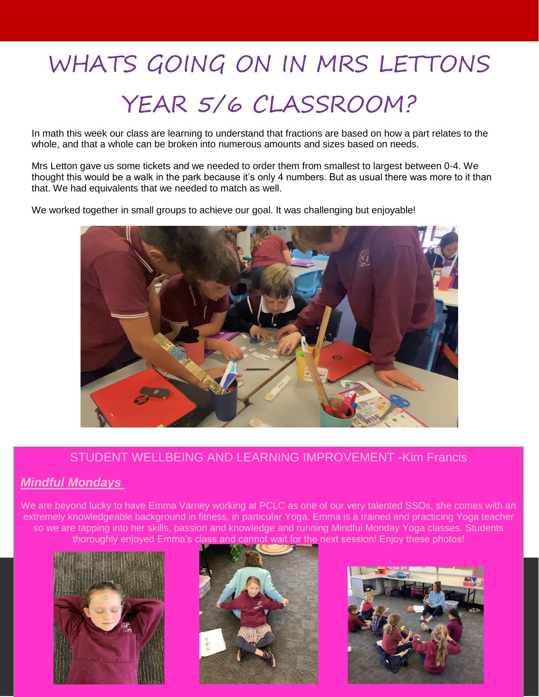# WHATS GOING ON IN MRS LETTONS

# YEAR 5/6 CLASSROOM?

In math this week our class are learning to understand that fractions are based on how a part relates to the whole, and that a whole can be broken into numerous amounts and sizes based on needs.

Mrs Letton gave us some tickets and we needed to order them from smallest to largest between 0-4. We thought this would be a walk in the park because it's only 4 numbers. But as usual there was more to it than that. We had equivalents that we needed to match as well.

We worked together in small groups to achieve our goal. It was challenging but enjoyable!



### STUDENT WELLBEING AND LEARNING IMPROVEMENT -Kim Francis

### *Mindful Mondays*

We are beyond lucky to have Emma Varney working at PCLC as one of our very talented SSOs, she comes with an extremely knowledgeable background in fitness, in particular Yoga. Emma is a trained and practicing Yoga teacher so we are tapping into her skills, passion and knowledge and running Mindful Monday Yoga classes. Students thoroughly enjoyed Emma's class and cannot wait for the next session! Enjoy these photos!





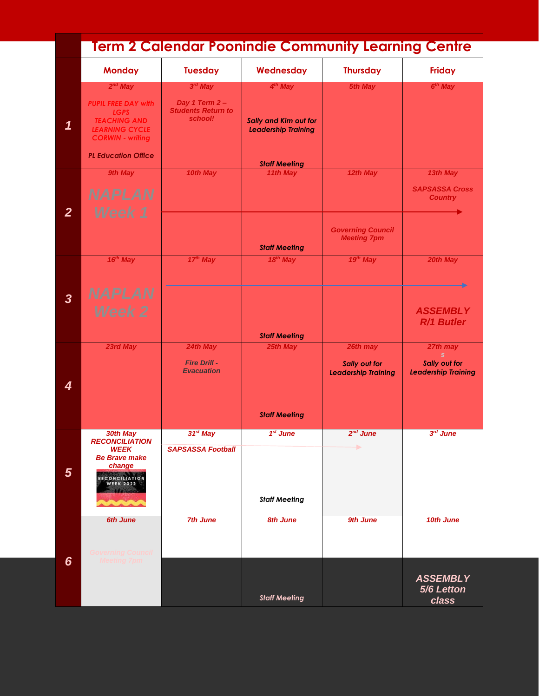|                         | <u>Term 2 Calendar Poonindie Community Learning Centre</u>                                                           |                                                       |                                                     |                                                    |                                             |  |  |  |
|-------------------------|----------------------------------------------------------------------------------------------------------------------|-------------------------------------------------------|-----------------------------------------------------|----------------------------------------------------|---------------------------------------------|--|--|--|
|                         | <b>Monday</b>                                                                                                        | <b>Tuesday</b>                                        | Wednesday                                           | <b>Thursday</b>                                    | <b>Friday</b>                               |  |  |  |
|                         | $2^{nd}$ May                                                                                                         | $3rd$ May                                             | 4 <sup>th</sup> May                                 | <b>5th May</b>                                     | $6th$ May                                   |  |  |  |
| 1                       | <b>PUPIL FREE DAY with</b><br><b>LGPS</b><br><b>TEACHING AND</b><br><b>LEARNING CYCLE</b><br><b>CORWIN - writing</b> | Day 1 Term 2-<br><b>Students Return to</b><br>school! | Sally and Kim out for<br><b>Leadership Training</b> |                                                    |                                             |  |  |  |
|                         | <b>PL Education Office</b>                                                                                           |                                                       | <b>Staff Meeting</b>                                |                                                    |                                             |  |  |  |
|                         | 9th May                                                                                                              | 10th May                                              | 11th May                                            | 12th May                                           | 13th May                                    |  |  |  |
|                         | <b>NAPLAN</b>                                                                                                        |                                                       |                                                     |                                                    | <b>SAPSASSA Cross</b><br><b>Country</b>     |  |  |  |
| $\overline{2}$          | Week 1                                                                                                               |                                                       |                                                     |                                                    |                                             |  |  |  |
|                         |                                                                                                                      |                                                       | <b>Staff Meeting</b>                                | <b>Governing Council</b><br><b>Meeting 7pm</b>     |                                             |  |  |  |
|                         | $16th$ May                                                                                                           | $17th$ May                                            | $18th$ May                                          | $19th$ May                                         | 20th May                                    |  |  |  |
|                         |                                                                                                                      |                                                       |                                                     |                                                    |                                             |  |  |  |
| $\overline{\mathbf{3}}$ | <b>NAPLAN</b>                                                                                                        |                                                       |                                                     |                                                    |                                             |  |  |  |
|                         | <b>Week 2</b>                                                                                                        |                                                       | <b>Staff Meeting</b>                                |                                                    | <b>ASSEMBLY</b><br>R/1 Butler               |  |  |  |
|                         | 23rd May                                                                                                             | 24th May                                              | 25th May                                            | 26th may                                           | 27th may<br>S.                              |  |  |  |
| 4                       |                                                                                                                      | <b>Fire Drill -</b><br><b>Evacuation</b>              |                                                     | <b>Sally out for</b><br><b>Leadership Training</b> | Sally out for<br><b>Leadership Training</b> |  |  |  |
|                         |                                                                                                                      |                                                       | <b>Staff Meeting</b>                                |                                                    |                                             |  |  |  |
|                         | 30th May<br><b>RECONCILIATION</b>                                                                                    | $31st$ May                                            | 1 <sup>st</sup> June                                | $2nd$ June                                         | $3rd$ June                                  |  |  |  |
| $5\phantom{1}$          | <b>WEEK</b><br><b>Be Brave make</b><br>change                                                                        | <b>SAPSASSA Football</b>                              |                                                     | ▶                                                  |                                             |  |  |  |
|                         | RECONCILIATION<br>WEEK 2022                                                                                          |                                                       | <b>Staff Meeting</b>                                |                                                    |                                             |  |  |  |
|                         | <b>6th June</b>                                                                                                      | <b>7th June</b>                                       | <b>8th June</b>                                     | 9th June                                           | 10th June                                   |  |  |  |
|                         | Governing Council                                                                                                    |                                                       |                                                     |                                                    |                                             |  |  |  |
| 6                       | <b>Meeting 7pm</b>                                                                                                   |                                                       | <b>Staff Meeting</b>                                |                                                    | <b>ASSEMBLY</b><br>5/6 Letton<br>class      |  |  |  |